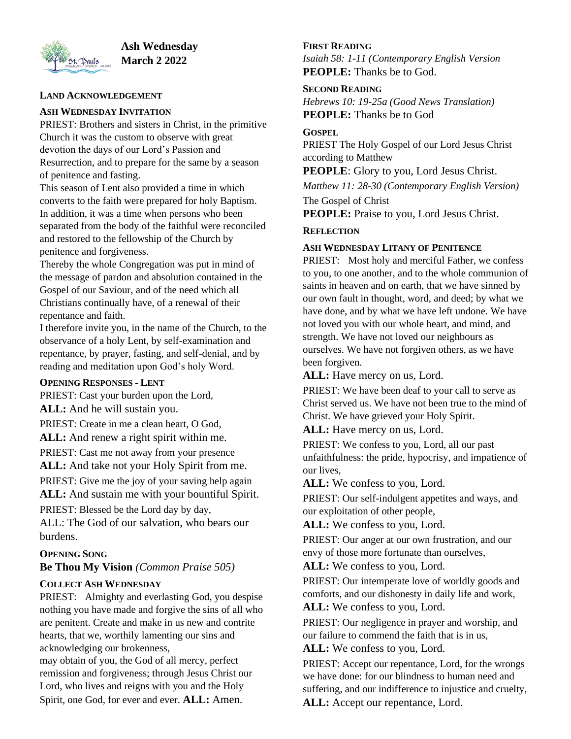

**Ash Wednesday March 2 2022**

#### **LAND ACKNOWLEDGEMENT**

#### **ASH WEDNESDAY INVITATION**

PRIEST: Brothers and sisters in Christ, in the primitive Church it was the custom to observe with great devotion the days of our Lord's Passion and Resurrection, and to prepare for the same by a season of penitence and fasting.

This season of Lent also provided a time in which converts to the faith were prepared for holy Baptism. In addition, it was a time when persons who been separated from the body of the faithful were reconciled and restored to the fellowship of the Church by penitence and forgiveness.

Thereby the whole Congregation was put in mind of the message of pardon and absolution contained in the Gospel of our Saviour, and of the need which all Christians continually have, of a renewal of their repentance and faith.

I therefore invite you, in the name of the Church, to the observance of a holy Lent, by self-examination and repentance, by prayer, fasting, and self-denial, and by reading and meditation upon God's holy Word.

### **OPENING RESPONSES - LENT**

PRIEST: Cast your burden upon the Lord, **ALL:** And he will sustain you.

PRIEST: Create in me a clean heart, O God, **ALL:** And renew a right spirit within me.

PRIEST: Cast me not away from your presence

**ALL:** And take not your Holy Spirit from me.

PRIEST: Give me the joy of your saving help again **ALL:** And sustain me with your bountiful Spirit. PRIEST: Blessed be the Lord day by day,

ALL: The God of our salvation, who bears our burdens.

## **OPENING SONG**

### **Be Thou My Vision** *(Common Praise 505)*

### **COLLECT ASH WEDNESDAY**

PRIEST: Almighty and everlasting God, you despise nothing you have made and forgive the sins of all who are penitent. Create and make in us new and contrite hearts, that we, worthily lamenting our sins and acknowledging our brokenness,

may obtain of you, the God of all mercy, perfect remission and forgiveness; through Jesus Christ our Lord, who lives and reigns with you and the Holy Spirit, one God, for ever and ever. **ALL:** Amen.

### **FIRST READING**

*Isaiah 58: 1-11 (Contemporary English Version* **PEOPLE:** Thanks be to God.

### **SECOND READING**

*Hebrews 10: 19-25a (Good News Translation)* **PEOPLE:** Thanks be to God

### **GOSPEL**

PRIEST The Holy Gospel of our Lord Jesus Christ according to Matthew

**PEOPLE**: Glory to you, Lord Jesus Christ.

*Matthew 11: 28-30 (Contemporary English Version)* The Gospel of Christ

**PEOPLE:** Praise to you, Lord Jesus Christ.

### **REFLECTION**

#### **ASH WEDNESDAY LITANY OF PENITENCE**

PRIEST: Most holy and merciful Father, we confess to you, to one another, and to the whole communion of saints in heaven and on earth, that we have sinned by our own fault in thought, word, and deed; by what we have done, and by what we have left undone. We have not loved you with our whole heart, and mind, and strength. We have not loved our neighbours as ourselves. We have not forgiven others, as we have been forgiven.

## **ALL:** Have mercy on us, Lord.

PRIEST: We have been deaf to your call to serve as Christ served us. We have not been true to the mind of Christ. We have grieved your Holy Spirit.

**ALL:** Have mercy on us, Lord.

PRIEST: We confess to you, Lord, all our past unfaithfulness: the pride, hypocrisy, and impatience of our lives,

**ALL:** We confess to you, Lord.

PRIEST: Our self-indulgent appetites and ways, and our exploitation of other people,

**ALL:** We confess to you, Lord.

PRIEST: Our anger at our own frustration, and our envy of those more fortunate than ourselves,

**ALL:** We confess to you, Lord.

PRIEST: Our intemperate love of worldly goods and comforts, and our dishonesty in daily life and work,

**ALL:** We confess to you, Lord.

PRIEST: Our negligence in prayer and worship, and our failure to commend the faith that is in us,

**ALL:** We confess to you, Lord.

PRIEST: Accept our repentance, Lord, for the wrongs we have done: for our blindness to human need and suffering, and our indifference to injustice and cruelty, **ALL:** Accept our repentance, Lord.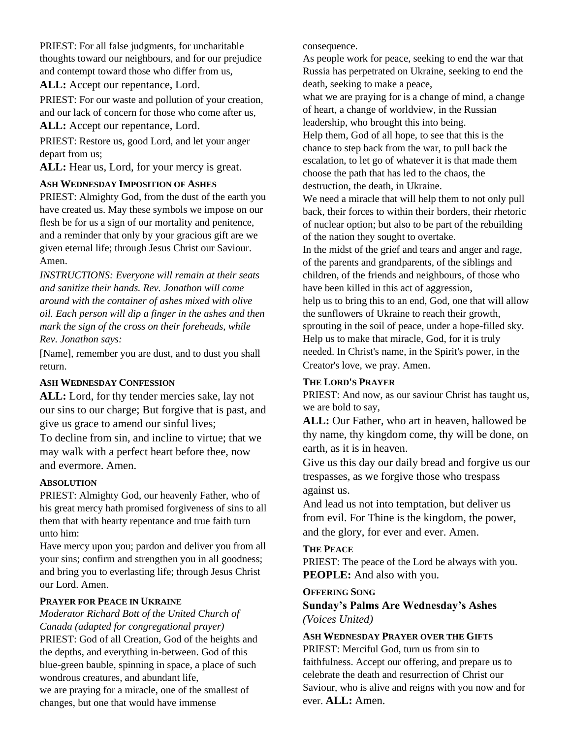PRIEST: For all false judgments, for uncharitable thoughts toward our neighbours, and for our prejudice and contempt toward those who differ from us,

**ALL:** Accept our repentance, Lord.

PRIEST: For our waste and pollution of your creation, and our lack of concern for those who come after us, **ALL:** Accept our repentance, Lord.

PRIEST: Restore us, good Lord, and let your anger depart from us;

**ALL:** Hear us, Lord, for your mercy is great.

### **ASH WEDNESDAY IMPOSITION OF ASHES**

PRIEST: Almighty God, from the dust of the earth you have created us. May these symbols we impose on our flesh be for us a sign of our mortality and penitence, and a reminder that only by your gracious gift are we given eternal life; through Jesus Christ our Saviour. Amen.

*INSTRUCTIONS: Everyone will remain at their seats and sanitize their hands. Rev. Jonathon will come around with the container of ashes mixed with olive oil. Each person will dip a finger in the ashes and then mark the sign of the cross on their foreheads, while Rev. Jonathon says:*

[Name], remember you are dust, and to dust you shall return.

## **ASH WEDNESDAY CONFESSION**

**ALL:** Lord, for thy tender mercies sake, lay not our sins to our charge; But forgive that is past, and give us grace to amend our sinful lives;

To decline from sin, and incline to virtue; that we may walk with a perfect heart before thee, now and evermore. Amen.

## **ABSOLUTION**

PRIEST: Almighty God, our heavenly Father, who of his great mercy hath promised forgiveness of sins to all them that with hearty repentance and true faith turn unto him:

Have mercy upon you; pardon and deliver you from all your sins; confirm and strengthen you in all goodness; and bring you to everlasting life; through Jesus Christ our Lord. Amen.

## **PRAYER FOR PEACE IN UKRAINE**

*Moderator Richard Bott of the United Church of Canada (adapted for congregational prayer)* PRIEST: God of all Creation, God of the heights and the depths, and everything in-between. God of this blue-green bauble, spinning in space, a place of such wondrous creatures, and abundant life, we are praying for a miracle, one of the smallest of changes, but one that would have immense

consequence.

As people work for peace, seeking to end the war that Russia has perpetrated on Ukraine, seeking to end the death, seeking to make a peace,

what we are praying for is a change of mind, a change of heart, a change of worldview, in the Russian leadership, who brought this into being.

Help them, God of all hope, to see that this is the chance to step back from the war, to pull back the escalation, to let go of whatever it is that made them choose the path that has led to the chaos, the destruction, the death, in Ukraine.

We need a miracle that will help them to not only pull back, their forces to within their borders, their rhetoric of nuclear option; but also to be part of the rebuilding of the nation they sought to overtake.

In the midst of the grief and tears and anger and rage, of the parents and grandparents, of the siblings and children, of the friends and neighbours, of those who have been killed in this act of aggression, help us to bring this to an end, God, one that will allow the sunflowers of Ukraine to reach their growth, sprouting in the soil of peace, under a hope-filled sky. Help us to make that miracle, God, for it is truly needed. In Christ's name, in the Spirit's power, in the Creator's love, we pray. Amen.

## **THE LORD'S PRAYER**

PRIEST: And now, as our saviour Christ has taught us, we are bold to say,

**ALL:** Our Father, who art in heaven, hallowed be thy name, thy kingdom come, thy will be done, on earth, as it is in heaven.

Give us this day our daily bread and forgive us our trespasses, as we forgive those who trespass against us.

And lead us not into temptation, but deliver us from evil. For Thine is the kingdom, the power, and the glory, for ever and ever. Amen.

## **THE PEACE**

PRIEST: The peace of the Lord be always with you. **PEOPLE:** And also with you.

### **OFFERING SONG**

**Sunday's Palms Are Wednesday's Ashes** *(Voices United)*

**ASH WEDNESDAY PRAYER OVER THE GIFTS** PRIEST: Merciful God, turn us from sin to faithfulness. Accept our offering, and prepare us to celebrate the death and resurrection of Christ our Saviour, who is alive and reigns with you now and for ever. **ALL:** Amen.